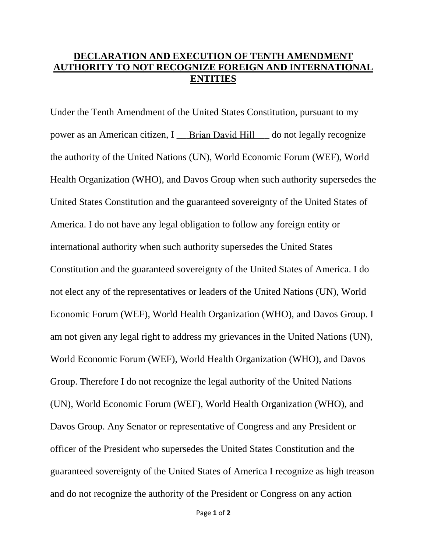## **DECLARATION AND EXECUTION OF TENTH AMENDMENT AUTHORITY TO NOT RECOGNIZE FOREIGN AND INTERNATIONAL ENTITIES**

Under the Tenth Amendment of the United States Constitution, pursuant to my power as an American citizen, I **Brian David Hill** do not legally recognize the authority of the United Nations (UN), World Economic Forum (WEF), World Health Organization (WHO), and Davos Group when such authority supersedes the United States Constitution and the guaranteed sovereignty of the United States of America. I do not have any legal obligation to follow any foreign entity or international authority when such authority supersedes the United States Constitution and the guaranteed sovereignty of the United States of America. I do not elect any of the representatives or leaders of the United Nations (UN), World Economic Forum (WEF), World Health Organization (WHO), and Davos Group. I am not given any legal right to address my grievances in the United Nations (UN), World Economic Forum (WEF), World Health Organization (WHO), and Davos Group. Therefore I do not recognize the legal authority of the United Nations (UN), World Economic Forum (WEF), World Health Organization (WHO), and Davos Group. Any Senator or representative of Congress and any President or officer of the President who supersedes the United States Constitution and the guaranteed sovereignty of the United States of America I recognize as high treason and do not recognize the authority of the President or Congress on any action